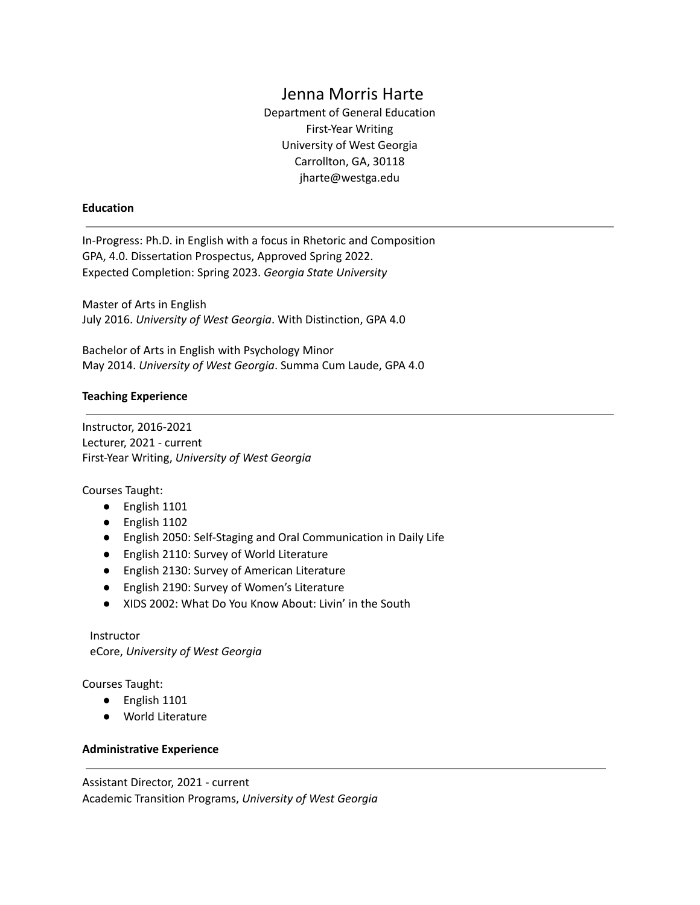# Jenna Morris Harte

Department of General Education First-Year Writing University of West Georgia Carrollton, GA, 30118 [jharte@westga.edu](mailto:jharte@westga.edu)

#### **Education**

In-Progress: Ph.D. in English with a focus in Rhetoric and Composition GPA, 4.0. Dissertation Prospectus, Approved Spring 2022. Expected Completion: Spring 2023. *Georgia State University*

Master of Arts in English July 2016. *University of West Georgia*. With Distinction, GPA 4.0

Bachelor of Arts in English with Psychology Minor May 2014. *University of West Georgia*. Summa Cum Laude, GPA 4.0

### **Teaching Experience**

Instructor, 2016-2021 Lecturer, 2021 - current First-Year Writing, *University of West Georgia*

Courses Taught:

- English 1101
- English 1102
- English 2050: Self-Staging and Oral Communication in Daily Life
- English 2110: Survey of World Literature
- English 2130: Survey of American Literature
- English 2190: Survey of Women's Literature
- XIDS 2002: What Do You Know About: Livin' in the South

Instructor eCore, *University of West Georgia*

Courses Taught:

- English 1101
- World Literature

### **Administrative Experience**

Assistant Director, 2021 - current Academic Transition Programs, *University of West Georgia*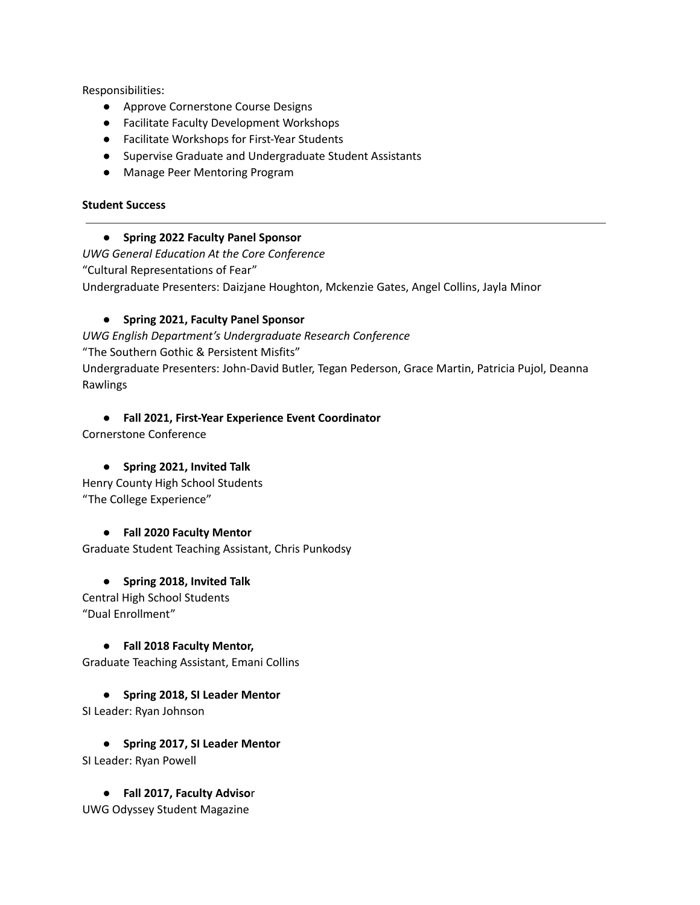Responsibilities:

- Approve Cornerstone Course Designs
- Facilitate Faculty Development Workshops
- Facilitate Workshops for First-Year Students
- Supervise Graduate and Undergraduate Student Assistants
- Manage Peer Mentoring Program

### **Student Success**

### **● Spring 2022 Faculty Panel Sponsor**

*UWG General Education At the Core Conference* "Cultural Representations of Fear" Undergraduate Presenters: Daizjane Houghton, Mckenzie Gates, Angel Collins, Jayla Minor

## **● Spring 2021, Faculty Panel Sponsor**

*UWG English Department's Undergraduate Research Conference* "The Southern Gothic & Persistent Misfits" Undergraduate Presenters: John-David Butler, Tegan Pederson, Grace Martin, Patricia Pujol, Deanna Rawlings

## **● Fall 2021, First-Year Experience Event Coordinator**

Cornerstone Conference

## **● Spring 2021, Invited Talk**

Henry County High School Students "The College Experience"

## **● Fall 2020 Faculty Mentor**

Graduate Student Teaching Assistant, Chris Punkodsy

# **● Spring 2018, Invited Talk**

Central High School Students "Dual Enrollment"

## **● Fall 2018 Faculty Mentor,**

Graduate Teaching Assistant, Emani Collins

**● Spring 2018, SI Leader Mentor**

SI Leader: Ryan Johnson

**● Spring 2017, SI Leader Mentor** SI Leader: Ryan Powell

● **Fall 2017, Faculty Adviso**r UWG Odyssey Student Magazine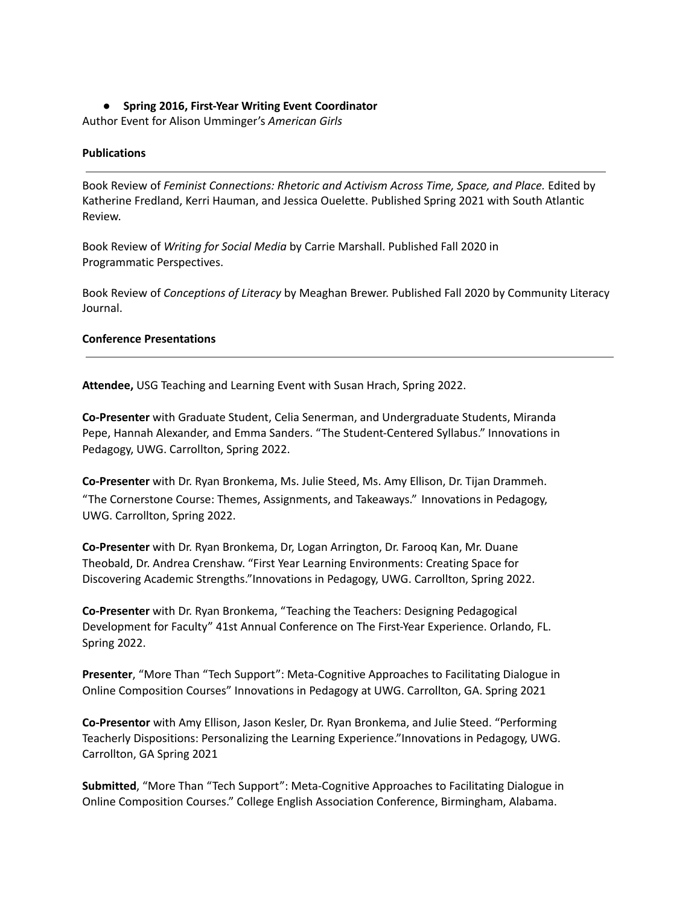### **● Spring 2016, First-Year Writing Event Coordinator**

Author Event for Alison Umminger's *American Girls*

#### **Publications**

Book Review of *Feminist Connections: Rhetoric and Activism Across Time, Space, and Place.* Edited by Katherine Fredland, Kerri Hauman, and Jessica Ouelette. Published Spring 2021 with South Atlantic Review.

Book Review of *Writing for Social Media* by Carrie Marshall. Published Fall 2020 in Programmatic Perspectives.

Book Review of *Conceptions of Literacy* by Meaghan Brewer. Published Fall 2020 by Community Literacy Journal.

#### **Conference Presentations**

**Attendee,** USG Teaching and Learning Event with Susan Hrach, Spring 2022.

**Co-Presenter** with Graduate Student, Celia Senerman, and Undergraduate Students, Miranda Pepe, Hannah Alexander, and Emma Sanders. "The Student-Centered Syllabus." Innovations in Pedagogy, UWG. Carrollton, Spring 2022.

**Co-Presenter** with Dr. Ryan Bronkema, Ms. Julie Steed, Ms. Amy Ellison, Dr. Tijan Drammeh. "The Cornerstone Course: Themes, Assignments, and Takeaways." Innovations in Pedagogy, UWG. Carrollton, Spring 2022.

**Co-Presenter** with Dr. Ryan Bronkema, Dr, Logan Arrington, Dr. Farooq Kan, Mr. Duane Theobald, Dr. Andrea Crenshaw. "First Year Learning Environments: Creating Space for Discovering Academic Strengths."Innovations in Pedagogy, UWG. Carrollton, Spring 2022.

**Co-Presenter** with Dr. Ryan Bronkema, "Teaching the Teachers: Designing Pedagogical Development for Faculty" 41st Annual Conference on The First-Year Experience. Orlando, FL. Spring 2022.

**Presenter**, "More Than "Tech Support": Meta-Cognitive Approaches to Facilitating Dialogue in Online Composition Courses" Innovations in Pedagogy at UWG. Carrollton, GA. Spring 2021

**Co-Presentor** with Amy Ellison, Jason Kesler, Dr. Ryan Bronkema, and Julie Steed. "Performing Teacherly Dispositions: Personalizing the Learning Experience."Innovations in Pedagogy, UWG. Carrollton, GA Spring 2021

**Submitted**, "More Than "Tech Support": Meta-Cognitive Approaches to Facilitating Dialogue in Online Composition Courses." College English Association Conference, Birmingham, Alabama.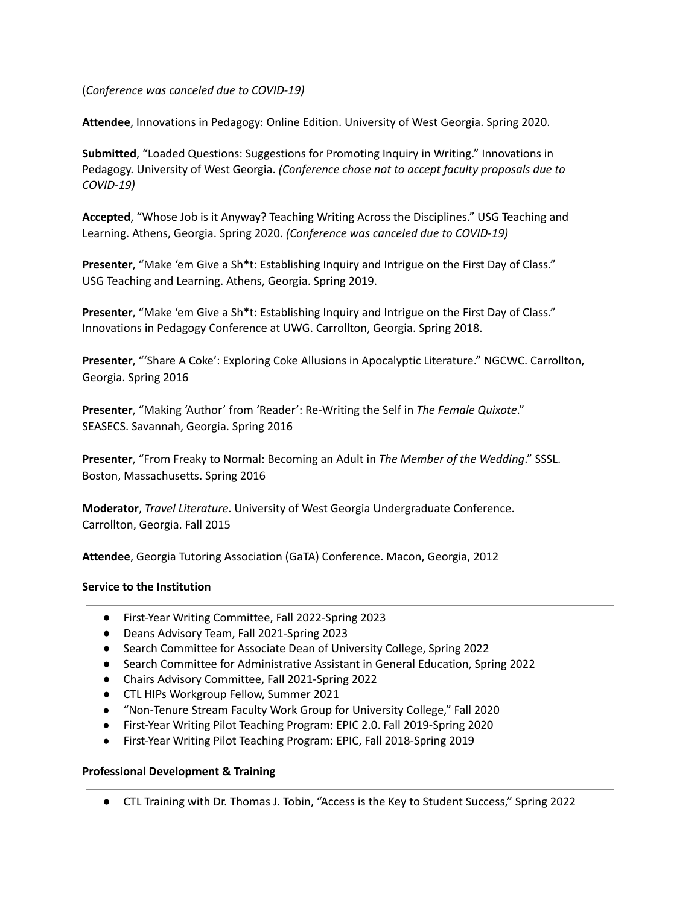(*Conference was canceled due to COVID-19)*

**Attendee**, Innovations in Pedagogy: Online Edition. University of West Georgia. Spring 2020.

**Submitted**, "Loaded Questions: Suggestions for Promoting Inquiry in Writing." Innovations in Pedagogy. University of West Georgia. *(Conference chose not to accept faculty proposals due to COVID-19)*

**Accepted**, "Whose Job is it Anyway? Teaching Writing Across the Disciplines." USG Teaching and Learning. Athens, Georgia. Spring 2020. *(Conference was canceled due to COVID-19)*

**Presenter**, "Make 'em Give a Sh\*t: Establishing Inquiry and Intrigue on the First Day of Class." USG Teaching and Learning. Athens, Georgia. Spring 2019.

**Presenter**, "Make 'em Give a Sh\*t: Establishing Inquiry and Intrigue on the First Day of Class." Innovations in Pedagogy Conference at UWG. Carrollton, Georgia. Spring 2018.

**Presenter**, "'Share A Coke': Exploring Coke Allusions in Apocalyptic Literature." NGCWC. Carrollton, Georgia. Spring 2016

**Presenter**, "Making 'Author' from 'Reader': Re-Writing the Self in *The Female Quixote*." SEASECS. Savannah, Georgia. Spring 2016

**Presenter**, "From Freaky to Normal: Becoming an Adult in *The Member of the Wedding*." SSSL. Boston, Massachusetts. Spring 2016

**Moderator**, *Travel Literature*. University of West Georgia Undergraduate Conference. Carrollton, Georgia. Fall 2015

**Attendee**, Georgia Tutoring Association (GaTA) Conference. Macon, Georgia, 2012

#### **Service to the Institution**

- First-Year Writing Committee, Fall 2022-Spring 2023
- Deans Advisory Team, Fall 2021-Spring 2023
- Search Committee for Associate Dean of University College, Spring 2022
- Search Committee for Administrative Assistant in General Education, Spring 2022
- Chairs Advisory Committee, Fall 2021-Spring 2022
- CTL HIPs Workgroup Fellow, Summer 2021
- "Non-Tenure Stream Faculty Work Group for University College," Fall 2020
- First-Year Writing Pilot Teaching Program: EPIC 2.0. Fall 2019-Spring 2020
- First-Year Writing Pilot Teaching Program: EPIC, Fall 2018-Spring 2019

### **Professional Development & Training**

● CTL Training with Dr. Thomas J. Tobin, "Access is the Key to Student Success," Spring 2022